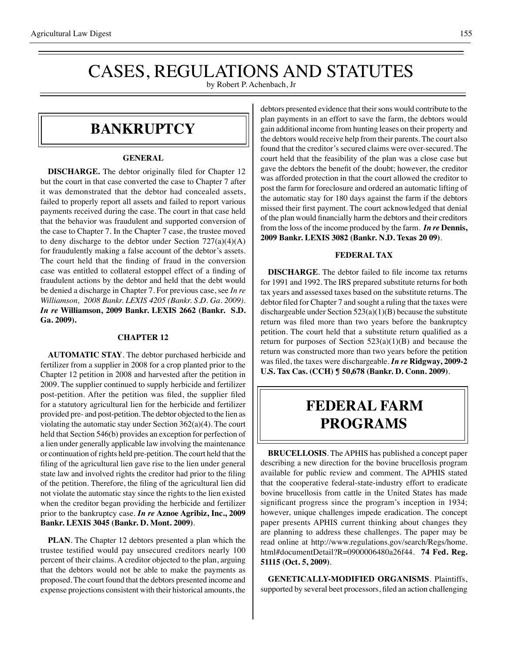# CASES, REGULATIONS AND STATUTES

by Robert P. Achenbach, Jr

### **bankruptcy**

#### **GENERAL**

**DISCHARGE.** The debtor originally filed for Chapter 12 but the court in that case converted the case to Chapter 7 after it was demonstrated that the debtor had concealed assets, failed to properly report all assets and failed to report various payments received during the case. The court in that case held that the behavior was fraudulent and supported conversion of the case to Chapter 7. In the Chapter 7 case, the trustee moved to deny discharge to the debtor under Section  $727(a)(4)(A)$ for fraudulently making a false account of the debtor's assets. The court held that the finding of fraud in the conversion case was entitled to collateral estoppel effect of a finding of fraudulent actions by the debtor and held that the debt would be denied a discharge in Chapter 7. For previous case, see *In re Williamson, 2008 Bankr. LEXIS 4205 (Bankr. S.D. Ga. 2009)*. *In re* **Williamson, 2009 Bankr. LEXIS 2662 (Bankr. S.D. Ga. 2009).**

#### **CHAPTER 12**

**AUTOMATIC STAY**. The debtor purchased herbicide and fertilizer from a supplier in 2008 for a crop planted prior to the Chapter 12 petition in 2008 and harvested after the petition in 2009. The supplier continued to supply herbicide and fertilizer post-petition. After the petition was filed, the supplier filed for a statutory agricultural lien for the herbicide and fertilizer provided pre- and post-petition. The debtor objected to the lien as violating the automatic stay under Section 362(a)(4). The court held that Section 546(b) provides an exception for perfection of a lien under generally applicable law involving the maintenance or continuation of rights held pre-petition. The court held that the filing of the agricultural lien gave rise to the lien under general state law and involved rights the creditor had prior to the filing of the petition. Therefore, the filing of the agricultural lien did not violate the automatic stay since the rights to the lien existed when the creditor began providing the herbicide and fertilizer prior to the bankruptcy case. *In re* **Aznoe Agribiz, Inc., 2009 Bankr. LEXIS 3045 (Bankr. D. Mont. 2009)**.

**PLAN**. The Chapter 12 debtors presented a plan which the trustee testified would pay unsecured creditors nearly 100 percent of their claims. A creditor objected to the plan, arguing that the debtors would not be able to make the payments as proposed. The court found that the debtors presented income and expense projections consistent with their historical amounts, the

debtors presented evidence that their sons would contribute to the plan payments in an effort to save the farm, the debtors would gain additional income from hunting leases on their property and the debtors would receive help from their parents. The court also found that the creditor's secured claims were over-secured. The court held that the feasibility of the plan was a close case but gave the debtors the benefit of the doubt; however, the creditor was afforded protection in that the court allowed the creditor to post the farm for foreclosure and ordered an automatic lifting of the automatic stay for 180 days against the farm if the debtors missed their first payment. The court acknowledged that denial of the plan would financially harm the debtors and their creditors from the loss of the income produced by the farm. *In re* **Dennis, 2009 Bankr. LEXIS 3082 (Bankr. N.D. Texas 20 09)**.

#### **FEDERAL TAX**

**DISCHARGE**. The debtor failed to file income tax returns for 1991 and 1992. The IRS prepared substitute returns for both tax years and assessed taxes based on the substitute returns. The debtor filed for Chapter 7 and sought a ruling that the taxes were dischargeable under Section 523(a)(1)(B) because the substitute return was filed more than two years before the bankruptcy petition. The court held that a substitute return qualified as a return for purposes of Section  $523(a)(1)(B)$  and because the return was constructed more than two years before the petition was filed, the taxes were dischargeable. *In re* **Ridgway, 2009-2 U.S. Tax Cas. (CCH) ¶ 50,678 (Bankr. D. Conn. 2009)**.

### **federal FARM PROGRAMS**

**BRUCELLOSIS**. The APHIS has published a concept paper describing a new direction for the bovine brucellosis program available for public review and comment. The APHIS stated that the cooperative federal-state-industry effort to eradicate bovine brucellosis from cattle in the United States has made significant progress since the program's inception in 1934; however, unique challenges impede eradication. The concept paper presents APHIS current thinking about changes they are planning to address these challenges. The paper may be read online at http://www.regulations.gov/search/Regs/home. html#documentDetail?R=0900006480a26f44. **74 Fed. Reg. 51115 (Oct. 5, 2009)**.

**GENETICALLY-MODIFIED ORGANISMS**. Plaintiffs, supported by several beet processors, filed an action challenging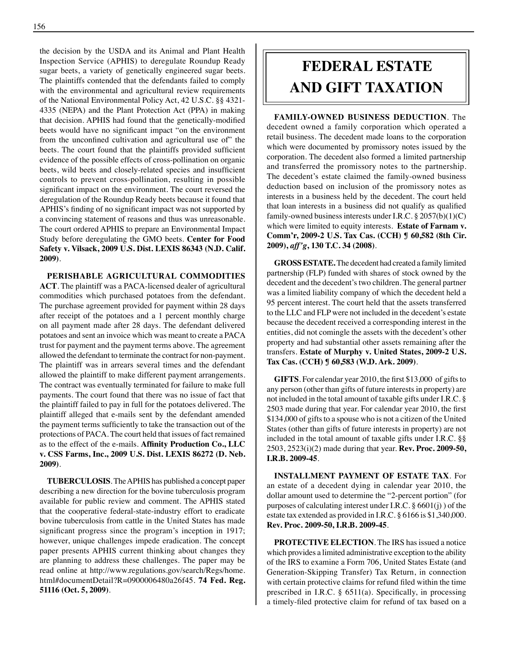the decision by the USDA and its Animal and Plant Health Inspection Service (APHIS) to deregulate Roundup Ready sugar beets, a variety of genetically engineered sugar beets. The plaintiffs contended that the defendants failed to comply with the environmental and agricultural review requirements of the National Environmental Policy Act, 42 U.S.C. §§ 4321- 4335 (NEPA) and the Plant Protection Act (PPA) in making that decision. APHIS had found that the genetically-modified beets would have no significant impact "on the environment from the unconfined cultivation and agricultural use of" the beets. The court found that the plaintiffs provided sufficient evidence of the possible effects of cross-pollination on organic beets, wild beets and closely-related species and insufficient controls to prevent cross-pollination, resulting in possible significant impact on the environment. The court reversed the deregulation of the Roundup Ready beets because it found that APHIS's finding of no significant impact was not supported by a convincing statement of reasons and thus was unreasonable. The court ordered APHIS to prepare an Environmental Impact Study before deregulating the GMO beets. **Center for Food Safety v. Vilsack, 2009 U.S. Dist. LEXIS 86343 (N.D. Calif. 2009)**.

**PERISHABLE AGRICULTURAL COMMODITIES ACT**. The plaintiff was a PACA-licensed dealer of agricultural commodities which purchased potatoes from the defendant. The purchase agreement provided for payment within 28 days after receipt of the potatoes and a 1 percent monthly charge on all payment made after 28 days. The defendant delivered potatoes and sent an invoice which was meant to create a PACA trust for payment and the payment terms above. The agreement allowed the defendant to terminate the contract for non-payment. The plaintiff was in arrears several times and the defendant allowed the plaintiff to make different payment arrangements. The contract was eventually terminated for failure to make full payments. The court found that there was no issue of fact that the plaintiff failed to pay in full for the potatoes delivered. The plaintiff alleged that e-mails sent by the defendant amended the payment terms sufficiently to take the transaction out of the protections of PACA. The court held that issues of fact remained as to the effect of the e-mails. **Affinity Production Co., LLC v. CSS Farms, Inc., 2009 U.S. Dist. LEXIS 86272 (D. Neb. 2009)**.

**TUBERCULOSIS**. The APHIS has published a concept paper describing a new direction for the bovine tuberculosis program available for public review and comment. The APHIS stated that the cooperative federal-state-industry effort to eradicate bovine tuberculosis from cattle in the United States has made significant progress since the program's inception in 1917; however, unique challenges impede eradication. The concept paper presents APHIS current thinking about changes they are planning to address these challenges. The paper may be read online at http://www.regulations.gov/search/Regs/home. html#documentDetail?R=0900006480a26f45. **74 Fed. Reg. 51116 (Oct. 5, 2009)**.

## **federal ESTATE AND GIFT taxation**

**FAMILY-OWNED BUSINESS DEDUCTION**. The decedent owned a family corporation which operated a retail business. The decedent made loans to the corporation which were documented by promissory notes issued by the corporation. The decedent also formed a limited partnership and transferred the promissory notes to the partnership. The decedent's estate claimed the family-owned business deduction based on inclusion of the promissory notes as interests in a business held by the decedent. The court held that loan interests in a business did not qualify as qualified family-owned business interests under I.R.C. § 2057(b)(1)(C) which were limited to equity interests. **Estate of Farnam v. Comm'r, 2009-2 U.S. Tax Cas. (CCH) ¶ 60,582 (8th Cir. 2009),** *aff'g***, 130 T.C. 34 (2008)**.

**GROSS ESTATE.** The decedent had created a family limited partnership (FLP) funded with shares of stock owned by the decedent and the decedent's two children. The general partner was a limited liability company of which the decedent held a 95 percent interest. The court held that the assets transferred to the LLC and FLP were not included in the decedent's estate because the decedent received a corresponding interest in the entities, did not comingle the assets with the decedent's other property and had substantial other assets remaining after the transfers. **Estate of Murphy v. United States, 2009-2 U.S. Tax Cas. (CCH) ¶ 60,583 (W.D. Ark. 2009)**.

**GIFTS**. For calendar year 2010, the first \$13,000 of gifts to any person (other than gifts of future interests in property) are not included in the total amount of taxable gifts under I.R.C. § 2503 made during that year. For calendar year 2010, the first \$134,000 of gifts to a spouse who is not a citizen of the United States (other than gifts of future interests in property) are not included in the total amount of taxable gifts under I.R.C. §§ 2503, 2523(i)(2) made during that year. **Rev. Proc. 2009-50, I.R.B. 2009-45**.

**INSTALLMENT PAYMENT OF ESTATE TAX**. For an estate of a decedent dying in calendar year 2010, the dollar amount used to determine the "2-percent portion" (for purposes of calculating interest under I.R.C.  $\S 6601(j)$  of the estate tax extended as provided in I.R.C. § 6166 is \$1,340,000. **Rev. Proc. 2009-50, I.R.B. 2009-45**.

**PROTECTIVE ELECTION**. The IRS has issued a notice which provides a limited administrative exception to the ability of the IRS to examine a Form 706, United States Estate (and Generation-Skipping Transfer) Tax Return, in connection with certain protective claims for refund filed within the time prescribed in I.R.C. § 6511(a). Specifically, in processing a timely-filed protective claim for refund of tax based on a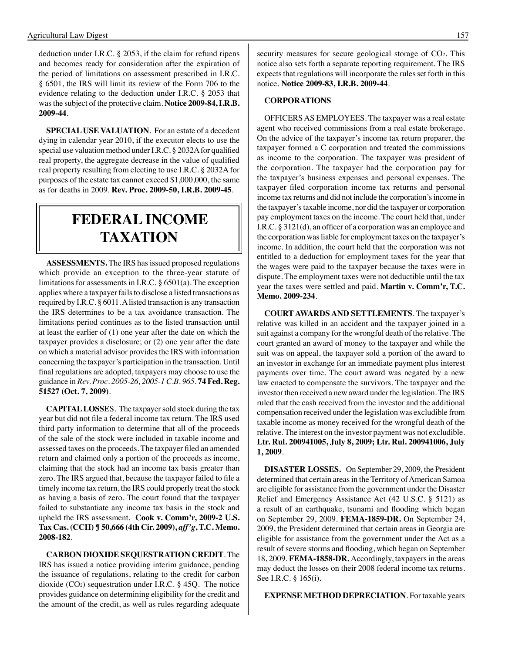deduction under I.R.C. § 2053, if the claim for refund ripens and becomes ready for consideration after the expiration of the period of limitations on assessment prescribed in I.R.C. § 6501, the IRS will limit its review of the Form 706 to the evidence relating to the deduction under I.R.C. § 2053 that was the subject of the protective claim. **Notice 2009-84, I.R.B. 2009-44**.

**SPECIAL USE VALUATION**. For an estate of a decedent dying in calendar year 2010, if the executor elects to use the special use valuation method under I.R.C. § 2032A for qualified real property, the aggregate decrease in the value of qualified real property resulting from electing to use I.R.C. § 2032A for purposes of the estate tax cannot exceed \$1,000,000, the same as for deaths in 2009. **Rev. Proc. 2009-50, I.R.B. 2009-45**.

### **federal income taxation**

**ASSESSMENTS.** The IRS has issued proposed regulations which provide an exception to the three-year statute of limitations for assessments in I.R.C. § 6501(a). The exception applies where a taxpayer fails to disclose a listed transactions as required by I.R.C. § 6011. A listed transaction is any transaction the IRS determines to be a tax avoidance transaction. The limitations period continues as to the listed transaction until at least the earlier of (1) one year after the date on which the taxpayer provides a disclosure; or (2) one year after the date on which a material advisor provides the IRS with information concerning the taxpayer's participation in the transaction. Until final regulations are adopted, taxpayers may choose to use the guidance in *Rev. Proc. 2005-26, 2005-1 C.B. 965*. **74 Fed. Reg. 51527 (Oct. 7, 2009)**.

**CAPITAL LOSSE**S. The taxpayer sold stock during the tax year but did not file a federal income tax return. The IRS used third party information to determine that all of the proceeds of the sale of the stock were included in taxable income and assessed taxes on the proceeds. The taxpayer filed an amended return and claimed only a portion of the proceeds as income, claiming that the stock had an income tax basis greater than zero. The IRS argued that, because the taxpayer failed to file a timely income tax return, the IRS could properly treat the stock as having a basis of zero. The court found that the taxpayer failed to substantiate any income tax basis in the stock and upheld the IRS assessment. **Cook v. Comm'r, 2009-2 U.S. Tax Cas. (CCH) ¶ 50,666 (4th Cir. 2009),** *aff'g***, T.C. Memo. 2008-182**.

**CARBON DIOXIDE SEQUESTRATION CREDIT**. The IRS has issued a notice providing interim guidance, pending the issuance of regulations, relating to the credit for carbon dioxide (CO2) sequestration under I.R.C. § 45Q. The notice provides guidance on determining eligibility for the credit and the amount of the credit, as well as rules regarding adequate security measures for secure geological storage of CO<sub>2</sub>. This notice also sets forth a separate reporting requirement. The IRS expects that regulations will incorporate the rules set forth in this notice. **Notice 2009-83, I.R.B. 2009-44**.

### **CORPORATIONS**

OFFICERS AS EMPLOYEES. The taxpayer was a real estate agent who received commissions from a real estate brokerage. On the advice of the taxpayer's income tax return preparer, the taxpayer formed a C corporation and treated the commissions as income to the corporation. The taxpayer was president of the corporation. The taxpayer had the corporation pay for the taxpayer's business expenses and personal expenses. The taxpayer filed corporation income tax returns and personal income tax returns and did not include the corporation's income in the taxpayer's taxable income, nor did the taxpayer or corporation pay employment taxes on the income. The court held that, under I.R.C. § 3121(d), an officer of a corporation was an employee and the corporation was liable for employment taxes on the taxpayer's income. In addition, the court held that the corporation was not entitled to a deduction for employment taxes for the year that the wages were paid to the taxpayer because the taxes were in dispute. The employment taxes were not deductible until the tax year the taxes were settled and paid. **Martin v. Comm'r, T.C. Memo. 2009-234**.

**COURT AWARDS AND SETTLEMENTS**. The taxpayer's relative was killed in an accident and the taxpayer joined in a suit against a company for the wrongful death of the relative. The court granted an award of money to the taxpayer and while the suit was on appeal, the taxpayer sold a portion of the award to an investor in exchange for an immediate payment plus interest payments over time. The court award was negated by a new law enacted to compensate the survivors. The taxpayer and the investor then received a new award under the legislation. The IRS ruled that the cash received from the investor and the additional compensation received under the legislation was excludible from taxable income as money received for the wrongful death of the relative. The interest on the investor payment was not excludible. **Ltr. Rul. 200941005, July 8, 2009; Ltr. Rul. 200941006, July 1, 2009**.

**DISASTER LOSSES.** On September 29, 2009*,* the President determined that certain areas in the Territory of American Samoa are eligible for assistance from the government under the Disaster Relief and Emergency Assistance Act (42 U.S.C. § 5121) as a result of an earthquake, tsunami and flooding which began on September 29, 2009*.* **FEMA-1859-DR.** On September 24, 2009, the President determined that certain areas in Georgia are eligible for assistance from the government under the Act as a result of severe storms and flooding, which began on September 18, 2009. **FEMA-1858-DR.** Accordingly, taxpayers in the areas may deduct the losses on their 2008 federal income tax returns. See I.R.C. § 165(i).

**EXPENSE METHOD DEPRECIATION**. For taxable years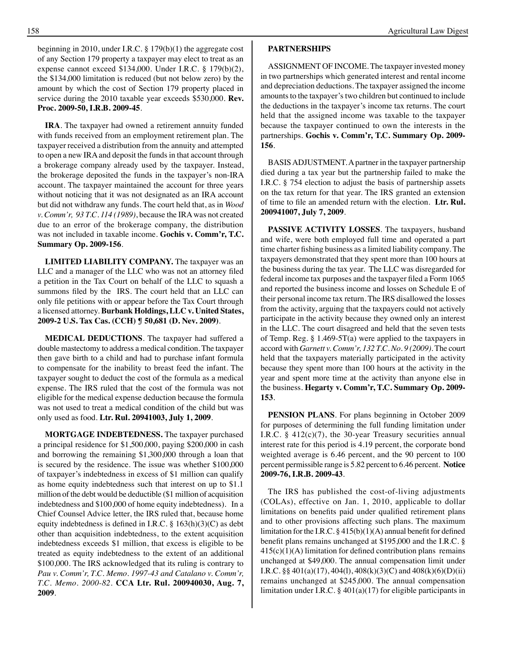beginning in 2010, under I.R.C. § 179(b)(1) the aggregate cost of any Section 179 property a taxpayer may elect to treat as an expense cannot exceed \$134,000. Under I.R.C. § 179(b)(2), the \$134,000 limitation is reduced (but not below zero) by the amount by which the cost of Section 179 property placed in service during the 2010 taxable year exceeds \$530,000. **Rev. Proc. 2009-50, I.R.B. 2009-45**.

**IRA**. The taxpayer had owned a retirement annuity funded with funds received from an employment retirement plan. The taxpayer received a distribution from the annuity and attempted to open a new IRA and deposit the funds in that account through a brokerage company already used by the taxpayer. Instead, the brokerage deposited the funds in the taxpayer's non-IRA account. The taxpayer maintained the account for three years without noticing that it was not designated as an IRA account but did not withdraw any funds. The court held that, as in *Wood v. Comm'r, 93 T.C. 114 (1989)*, because the IRA was not created due to an error of the brokerage company, the distribution was not included in taxable income. **Gochis v. Comm'r, T.C. Summary Op. 2009-156**.

**LIMITED LIABILITY COMPANY.** The taxpayer was an LLC and a manager of the LLC who was not an attorney filed a petition in the Tax Court on behalf of the LLC to squash a summons filed by the IRS. The court held that an LLC can only file petitions with or appear before the Tax Court through a licensed attorney. **Burbank Holdings, LLC v. United States, 2009-2 U.S. Tax Cas. (CCH) ¶ 50,681 (D. Nev. 2009)**.

**MEDICAL DEDUCTIONS**. The taxpayer had suffered a double mastectomy to address a medical condition. The taxpayer then gave birth to a child and had to purchase infant formula to compensate for the inability to breast feed the infant. The taxpayer sought to deduct the cost of the formula as a medical expense. The IRS ruled that the cost of the formula was not eligible for the medical expense deduction because the formula was not used to treat a medical condition of the child but was only used as food. **Ltr. Rul. 20941003, July 1, 2009**.

**MORTGAGE INDEBTEDNESS.** The taxpayer purchased a principal residence for \$1,500,000, paying \$200,000 in cash and borrowing the remaining \$1,300,000 through a loan that is secured by the residence. The issue was whether \$100,000 of taxpayer's indebtedness in excess of \$1 million can qualify as home equity indebtedness such that interest on up to \$1.1 million of the debt would be deductible (\$1 million of acquisition indebtedness and \$100,000 of home equity indebtedness). In a Chief Counsel Advice letter, the IRS ruled that, because home equity indebtedness is defined in I.R.C.  $\S$  163(h)(3)(C) as debt other than acquisition indebtedness, to the extent acquisition indebtedness exceeds \$1 million, that excess is eligible to be treated as equity indebtedness to the extent of an additional \$100,000. The IRS acknowledged that its ruling is contrary to *Pau v. Comm'r, T.C. Memo. 1997-43 and Catalano v. Comm'r, T.C. Memo. 2000-82*. **CCA Ltr. Rul. 200940030, Aug. 7, 2009**.

#### **PARTNERSHIPS**

ASSIGNMENT OF INCOME. The taxpayer invested money in two partnerships which generated interest and rental income and depreciation deductions. The taxpayer assigned the income amounts to the taxpayer's two children but continued to include the deductions in the taxpayer's income tax returns. The court held that the assigned income was taxable to the taxpayer because the taxpayer continued to own the interests in the partnerships. **Gochis v. Comm'r, T.C. Summary Op. 2009- 156**.

BASIS ADJUSTMENT. A partner in the taxpayer partnership died during a tax year but the partnership failed to make the I.R.C. § 754 election to adjust the basis of partnership assets on the tax return for that year. The IRS granted an extension of time to file an amended return with the election. **Ltr. Rul. 200941007, July 7, 2009**.

**PASSIVE ACTIVITY LOSSES**. The taxpayers, husband and wife, were both employed full time and operated a part time charter fishing business as a limited liability company. The taxpayers demonstrated that they spent more than 100 hours at the business during the tax year. The LLC was disregarded for federal income tax purposes and the taxpayer filed a Form 1065 and reported the business income and losses on Schedule E of their personal income tax return. The IRS disallowed the losses from the activity, arguing that the taxpayers could not actively participate in the activity because they owned only an interest in the LLC. The court disagreed and held that the seven tests of Temp. Reg. § 1.469-5T(a) were applied to the taxpayers in accord with *Garnett v. Comm'r, 132 T.C. No. 9 (2009)*. The court held that the taxpayers materially participated in the activity because they spent more than 100 hours at the activity in the year and spent more time at the activity than anyone else in the business. **Hegarty v. Comm'r, T.C. Summary Op. 2009- 153**.

**PENSION PLANS**. For plans beginning in October 2009 for purposes of determining the full funding limitation under I.R.C. § 412(c)(7), the 30-year Treasury securities annual interest rate for this period is 4.19 percent, the corporate bond weighted average is 6.46 percent, and the 90 percent to 100 percent permissible range is 5.82 percent to 6.46 percent. **Notice 2009-76, I.R.B. 2009-43**.

The IRS has published the cost-of-living adjustments (COLAs), effective on Jan. 1, 2010, applicable to dollar limitations on benefits paid under qualified retirement plans and to other provisions affecting such plans. The maximum limitation for the I.R.C.  $\S$  415(b)(1)(A) annual benefit for defined benefit plans remains unchanged at \$195,000 and the I.R.C. §  $415(c)(1)(A)$  limitation for defined contribution plans remains unchanged at \$49,000. The annual compensation limit under I.R.C. §§ 401(a)(17), 404(l), 408(k)(3)(C) and 408(k)(6)(D)(ii) remains unchanged at \$245,000. The annual compensation limitation under I.R.C. § 401(a)(17) for eligible participants in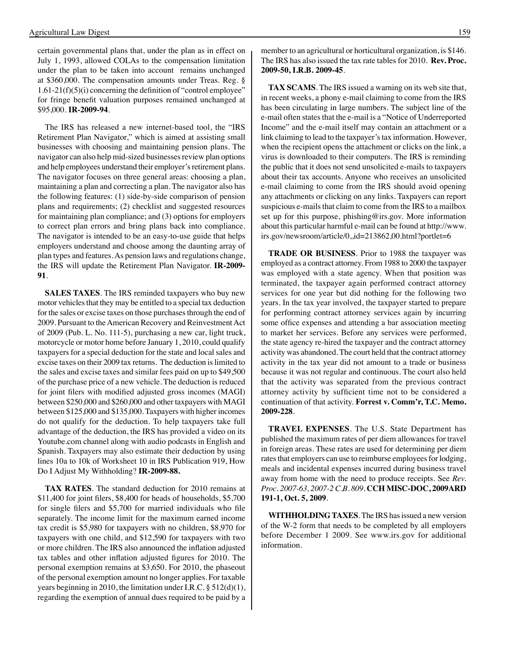certain governmental plans that, under the plan as in effect on July 1, 1993, allowed COLAs to the compensation limitation under the plan to be taken into account remains unchanged at \$360,000. The compensation amounts under Treas. Reg. § 1.61-21(f)(5)(i) concerning the definition of "control employee" for fringe benefit valuation purposes remained unchanged at \$95,000. **IR-2009-94**.

The IRS has released a new internet-based tool, the "IRS Retirement Plan Navigator," which is aimed at assisting small businesses with choosing and maintaining pension plans. The navigator can also help mid-sized businesses review plan options and help employees understand their employer's retirement plans. The navigator focuses on three general areas: choosing a plan, maintaining a plan and correcting a plan. The navigator also has the following features: (1) side-by-side comparison of pension plans and requirements; (2) checklist and suggested resources for maintaining plan compliance; and (3) options for employers to correct plan errors and bring plans back into compliance. The navigator is intended to be an easy-to-use guide that helps employers understand and choose among the daunting array of plan types and features. As pension laws and regulations change, the IRS will update the Retirement Plan Navigator. **IR-2009- 91**.

**SALES TAXES**. The IRS reminded taxpayers who buy new motor vehicles that they may be entitled to a special tax deduction for the sales or excise taxes on those purchases through the end of 2009. Pursuant to the American Recovery and Reinvestment Act of 2009 (Pub. L. No. 111-5), purchasing a new car, light truck, motorcycle or motor home before January 1, 2010, could qualify taxpayers for a special deduction for the state and local sales and excise taxes on their 2009 tax returns. The deduction is limited to the sales and excise taxes and similar fees paid on up to \$49,500 of the purchase price of a new vehicle. The deduction is reduced for joint filers with modified adjusted gross incomes (MAGI) between \$250,000 and \$260,000 and other taxpayers with MAGI between \$125,000 and \$135,000. Taxpayers with higher incomes do not qualify for the deduction. To help taxpayers take full advantage of the deduction, the IRS has provided a video on its Youtube.com channel along with audio podcasts in English and Spanish. Taxpayers may also estimate their deduction by using lines 10a to 10k of Worksheet 10 in IRS Publication 919, How Do I Adjust My Withholding? **IR-2009-88.**

**TAX RATES**. The standard deduction for 2010 remains at \$11,400 for joint filers, \$8,400 for heads of households, \$5,700 for single filers and \$5,700 for married individuals who file separately. The income limit for the maximum earned income tax credit is \$5,980 for taxpayers with no children, \$8,970 for taxpayers with one child, and \$12,590 for taxpayers with two or more children. The IRS also announced the inflation adjusted tax tables and other inflation adjusted figures for 2010. The personal exemption remains at \$3,650. For 2010, the phaseout of the personal exemption amount no longer applies. For taxable years beginning in 2010, the limitation under I.R.C. § 512(d)(1), regarding the exemption of annual dues required to be paid by a

member to an agricultural or horticultural organization, is \$146. The IRS has also issued the tax rate tables for 2010. **Rev. Proc. 2009-50, I.R.B. 2009-45**.

**TAX SCAMS**. The IRS issued a warning on its web site that, in recent weeks, a phony e-mail claiming to come from the IRS has been circulating in large numbers. The subject line of the e-mail often states that the e-mail is a "Notice of Underreported Income" and the e-mail itself may contain an attachment or a link claiming to lead to the taxpayer's tax information. However, when the recipient opens the attachment or clicks on the link, a virus is downloaded to their computers. The IRS is reminding the public that it does not send unsolicited e-mails to taxpayers about their tax accounts. Anyone who receives an unsolicited e-mail claiming to come from the IRS should avoid opening any attachments or clicking on any links. Taxpayers can report suspicious e-mails that claim to come from the IRS to a mailbox set up for this purpose, phishing@irs.gov. More information about this particular harmful e-mail can be found at http://www. irs.gov/newsroom/article/0,,id=213862,00.html?portlet=6

**TRADE OR BUSINESS**. Prior to 1988 the taxpayer was employed as a contract attorney. From 1988 to 2000 the taxpayer was employed with a state agency. When that position was terminated, the taxpayer again performed contract attorney services for one year but did nothing for the following two years. In the tax year involved, the taxpayer started to prepare for performing contract attorney services again by incurring some office expenses and attending a bar association meeting to market her services. Before any services were performed, the state agency re-hired the taxpayer and the contract attorney activity was abandoned. The court held that the contract attorney activity in the tax year did not amount to a trade or business because it was not regular and continuous. The court also held that the activity was separated from the previous contract attorney activity by sufficient time not to be considered a continuation of that activity. **Forrest v. Comm'r, T.C. Memo. 2009-228**.

**TRAVEL EXPENSES**. The U.S. State Department has published the maximum rates of per diem allowances for travel in foreign areas. These rates are used for determining per diem rates that employers can use to reimburse employees for lodging, meals and incidental expenses incurred during business travel away from home with the need to produce receipts. See *Rev. Proc. 2007-63, 2007-2 C.B. 809*. **CCH MISC-DOC, 2009ARD 191-1, Oct. 5, 2009**.

**WITHHOLDING TAXES**. The IRS has issued a new version of the W-2 form that needs to be completed by all employers before December 1 2009. See www.irs.gov for additional information.